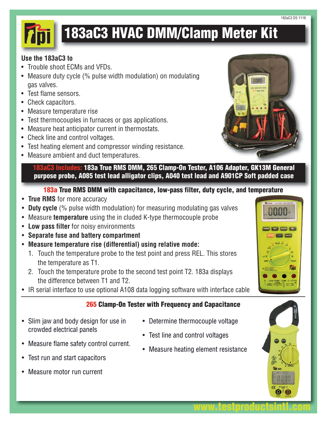#### 183aC3 DS 1116



# **183aC3 HVAC DMM/Clamp Meter Kit**

# **Use the 183aC3 to**

- Trouble shoot ECMs and VFDs.
- Measure duty cycle (% pulse width modulation) on modulating gas valves.
- Test flame sensors.
- Check capacitors.
- Measure temperature rise
- Test thermocouples in furnaces or gas applications.
- Measure heat anticipator current in thermostats.
- Check line and control voltages.
- Test heating element and compressor winding resistance.
- Measure ambient and duct temperatures.



**183aC3 Includes: 183a True RMS DMM, 265 Clamp-On Tester, A106 Adapter, GK13M General purpose probe, A085 test lead alligator clips, A040 test lead and A901CP Soft padded case**

# **183a True RMS DMM with capacitance, low-pass filter, duty cycle, and temperature**

- **True RMS** for more accuracy
- **Duty cycle** (% pulse width modulation) for measuring modulating gas valves
- Measure **temperature** using the in cluded K-type thermocouple probe
- **Low pass filter** for noisy environments
- **Separate fuse and battery compartment**
- **Measure temperature rise (differential) using relative mode:**
	- 1. Touch the temperature probe to the test point and press REL. This stores the temperature as T1.
	- 2. Touch the temperature probe to the second test point T2. 183a displays the difference between T1 and T2.
- IR serial interface to use optional A108 data logging software with interface cable

# **265 Clamp-On Tester with Frequency and Capacitance**

• Slim jaw and body design for use in crowded electrical panels

• Measure flame safety control current.

- Determine thermocouple voltage
- Test line and control voltages
- Measure heating element resistance
- Test run and start capacitors
- Measure motor run current



**www.testproductsintl.com**